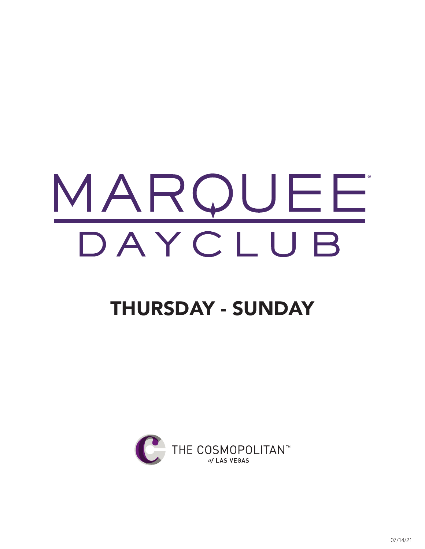### THURSDAY - SUNDAY

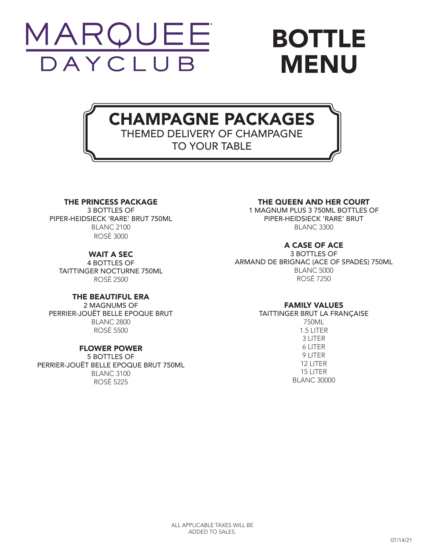

### BOTTLE MENU

#### CHAMPAGNE PACKAGES THEMED DELIVERY OF CHAMPAGNE TO YOUR TABLE

#### THE PRINCESS PACKAGE

3 BOTTLES OF PIPER-HEIDSIECK 'RARE' BRUT 750ML BLANC 2100 ROSÉ 3000

#### WAIT A SEC

4 BOTTLES OF TAITTINGER NOCTURNE 750ML ROSÉ 2500

#### THE BEAUTIFUL ERA

2 MAGNUMS OF PERRIER-JOUËT BELLE EPOQUE BRUT BLANC 2800 ROSÉ 5500

#### FLOWER POWER

5 BOTTLES OF PERRIER-JOUËT BELLE EPOQUE BRUT 750ML BLANC 3100 ROSÉ 5225

#### THE QUEEN AND HER COURT

1 MAGNUM PLUS 3 750ML BOTTLES OF PIPER-HEIDSIECK 'RARE' BRUT BLANC 3300

#### A CASE OF ACE

3 BOTTLES OF ARMAND DE BRIGNAC (ACE OF SPADES) 750ML BLANC 5000 ROSÉ 7250

#### FAMILY VALUES

TAITTINGER BRUT LA FRANÇAISE

750ML 1.5 LITER 3 LITER 6 LITER 9 LITER 12 LITER 15 LITER BLANC 30000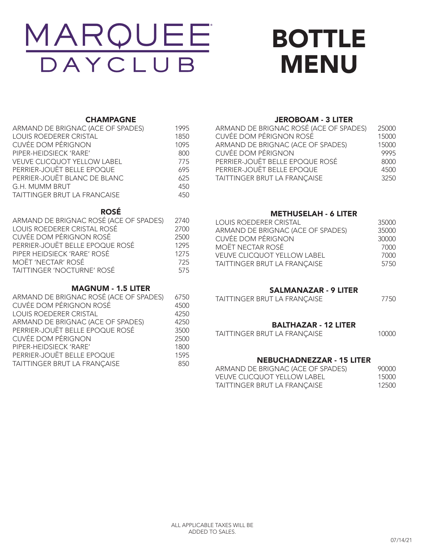# DAYCLUB

### BOTTLE MENU

#### **CHAMPAGNE**

| ARMAND DE BRIGNAC (ACE OF SPADES)   | 1995 |
|-------------------------------------|------|
| <b>LOUIS ROEDERER CRISTAL</b>       | 1850 |
| <b>CUVÉE DOM PÉRIGNON</b>           | 1095 |
| PIPER-HEIDSIECK 'RARE'              | 800  |
| <b>VEUVE CLICQUOT YELLOW LABEL</b>  | 775  |
| PERRIER-JOUËT BELLE EPOQUE          | 695  |
| PERRIER-JOUËT BLANC DE BLANC        | 625  |
| G.H. MUMM BRUT                      | 450  |
| <b>TAITTINGER BRUT LA FRANCAISE</b> | 450  |
|                                     |      |

#### ROSÉ

| ARMAND DE BRIGNAC ROSÉ (ACE OF SPADES) | 2740 |
|----------------------------------------|------|
| LOUIS ROEDERER CRISTAL ROSÉ            | 2700 |
| CUVÉE DOM PÉRIGNON ROSÉ                | 2500 |
| PERRIER-JOUËT BELLE EPOQUE ROSÉ        | 1295 |
| PIPER HEIDSIECK 'RARE' ROSÉ            | 1275 |
| MOËT 'NECTAR' ROSÉ                     | 725  |
| TAITTINGER 'NOCTURNE' ROSÉ             | 575  |

#### MAGNUM - 1.5 LITER

| ARMAND DE BRIGNAC ROSÉ (ACE OF SPADES) | 6750 |  |
|----------------------------------------|------|--|
| CUVÉE DOM PÉRIGNON ROSÉ                | 4500 |  |
| <b>LOUIS ROEDERER CRISTAL</b>          | 4250 |  |
| ARMAND DE BRIGNAC (ACE OF SPADES)      | 4250 |  |
| PERRIER-JOUËT BELLE EPOQUE ROSÉ        | 3500 |  |
| CUVÉE DOM PÉRIGNON                     | 2500 |  |
| PIPER-HEIDSIECK 'RARE'                 | 1800 |  |
| PERRIER-JOUËT BELLE EPOQUE             | 1595 |  |
| TAITTINGER BRUT LA FRANÇAISE           | 850  |  |
|                                        |      |  |

#### JEROBOAM - 3 LITER

| ARMAND DE BRIGNAC ROSÉ (ACE OF SPADES) | 25000 |
|----------------------------------------|-------|
| CUVÉE DOM PÉRIGNON ROSÉ                | 15000 |
| ARMAND DE BRIGNAC (ACE OF SPADES)      | 15000 |
| <b>CUVÉE DOM PÉRIGNON</b>              | 9995  |
| PERRIER-JOUËT BELLE EPOQUE ROSÉ        | 8000  |
| PERRIER-JOUËT BELLE EPOQUE             | 4500  |
| TAITTINGER BRUT LA FRANÇAISE           | 3250  |

#### METHUSELAH - 6 LITER

| <b>LOUIS ROEDERER CRISTAL</b>      | 35000 |
|------------------------------------|-------|
| ARMAND DE BRIGNAC (ACE OF SPADES)  | 35000 |
| <b>CUVÉE DOM PÉRIGNON</b>          | 30000 |
| MOËT NECTAR ROSÉ                   | 7000  |
| <b>VEUVE CLICQUOT YELLOW LABEL</b> | 7000  |
| TAITTINGER BRUT LA FRANÇAISE       | 5750  |

#### SALMANAZAR - 9 LITER

| TAITTINGER BRUT LA FRANÇAISE | 7750 |
|------------------------------|------|
|                              |      |

#### BALTHAZAR - 12 LITER

| TAITTINGER BRUT LA FRANÇAISE | 10000 |
|------------------------------|-------|
|------------------------------|-------|

#### NEBUCHADNEZZAR - 15 LITER

| ARMAND DE BRIGNAC (ACE OF SPADES) | 90000 |
|-----------------------------------|-------|
| VEUVE CLICQUOT YELLOW LABEL       | 15000 |
| TAITTINGER BRUT LA FRANÇAISE      | 12500 |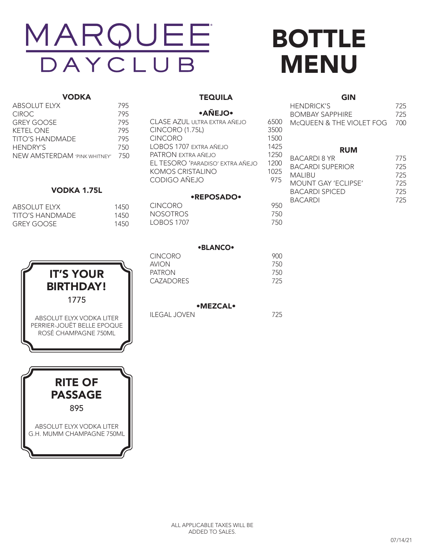### BOTTLE MENU

6500

#### VODKA

| <b>ABSOLUT ELYX</b>          | 795 |
|------------------------------|-----|
| CIROC.                       | 795 |
| <b>GREY GOOSE</b>            | 795 |
| KFTFI ONF                    | 795 |
| TITO'S HANDMADE              | 795 |
| <b>HENDRY'S</b>              | 750 |
| NEW AMSTERDAM 'PINK WHITNEY' | 750 |
|                              |     |

#### VODKA 1.75L

| ABSOLUT FIYX    | 1450 |
|-----------------|------|
| TITO'S HANDMADE | 1450 |
| GREY GOOSE      | 1450 |





#### **TEQUILA**

#### •AÑEJO•

| CLASE AZUL ULTRA EXTRA AÑEJO     | 6500 |
|----------------------------------|------|
| <b>CINCORO (1.75L)</b>           | 3500 |
| <b>CINCORO</b>                   | 1500 |
| LOBOS 1707 EXTRA AÑEJO           | 1425 |
| PATRON EXTRA AÑEJO               | 1250 |
| EL TESORO 'PARADISO' EXTRA AÑEJO | 1200 |
| <b>KOMOS CRISTALINO</b>          | 1025 |
| CODIGO AÑEJO                     | 975  |
|                                  |      |

#### •REPOSADO•

| CINCORO         | 950 |
|-----------------|-----|
| <b>NOSOTROS</b> | 750 |
| LOBOS 1707      | 750 |

| HENDRICK'S               | 725  |
|--------------------------|------|
| BOMBAY SAPPHIRE          | 725  |
| McOUFFN & THE VIOLET FOG | -700 |
|                          |      |
|                          |      |

GIN

#### RUM

| 125U | <b>BACARDI 8 YR</b>     | 775 |
|------|-------------------------|-----|
| 1200 | <b>BACARDI SUPERIOR</b> | 725 |
| 1025 | <b>MAI IBU</b>          | 725 |
| 975  | MOUNT GAY 'FCLIPSE'     | 725 |
|      | <b>BACARDI SPICED</b>   | 725 |
|      | <b>BACARDI</b>          | 725 |
| 950  |                         |     |

|          | <b>•BLANCO•</b> |            |
|----------|-----------------|------------|
| CINICODO |                 | <u>nno</u> |

| CINCORO   | YUU |
|-----------|-----|
| AVION     | 750 |
| PATRON    | 750 |
| CAZADORES | 725 |
|           |     |

#### •MEZCAL•

ILEGAL JOVEN 725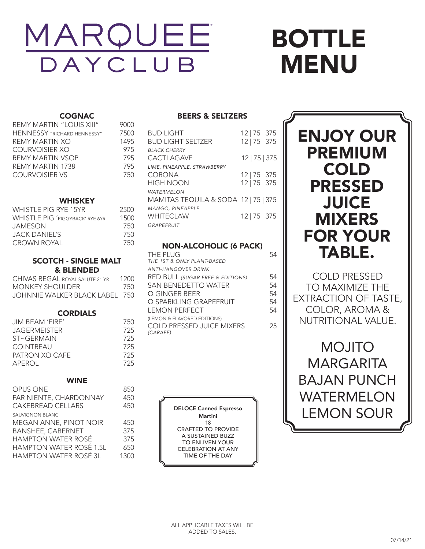## BOTTLE MENU

#### **COGNAC**

| <b>REMY MARTIN "LOUIS XIII"</b>    | 9000 |
|------------------------------------|------|
| <b>HENNESSY</b> "RICHARD HENNESSY" | 7500 |
| REMY MARTIN XO                     | 1495 |
| COURVOISIER XO                     | 975  |
| REMY MARTIN VSOP                   | 795  |
| REMY MARTIN 1738                   | 795  |
| <b>COURVOISIER VS</b>              | 750  |

#### WHISKEY

| WHISTLE PIG RYE 15YR                   | 2500 |
|----------------------------------------|------|
| <b>WHISTLE PIG 'PIGGYBACK' RYE 6YR</b> | 1500 |
| <b>JAMESON</b>                         | 750  |
| JACK DANIFI'S                          | 750  |
| <b>CROWN ROYAL</b>                     | 750  |

#### SCOTCH - SINGLE MALT & BLENDED

| CHIVAS REGAL ROYAL SALUTE 21 YR | 1200. |
|---------------------------------|-------|
| MONKEY SHOULDER                 | 750   |
| JOHNNIE WALKER BLACK LABEL 750  |       |

#### CORDIALS

| JIM BEAM 'FIRE'     | 750 |
|---------------------|-----|
| <b>JAGERMEISTER</b> | 725 |
| $ST \sim GFRMAIN$   | 725 |
| <b>COINTREAU</b>    | 725 |
| PATRON XO CAFE      | 725 |
| APEROL              | 725 |

#### WINE

| <b>OPUS ONE</b>                | 850  |
|--------------------------------|------|
| FAR NIENTE, CHARDONNAY         | 450  |
| <b>CAKEBREAD CELLARS</b>       | 450  |
| <b>SAUVIGNON BLANC</b>         |      |
| MEGAN ANNE, PINOT NOIR         | 450  |
| <b>BANSHEE, CABERNET</b>       | 375  |
| <b>HAMPTON WATER ROSÉ</b>      | 375  |
| <b>HAMPTON WATER ROSÉ 1.5L</b> | 650  |
| <b>HAMPTON WATER ROSÉ 3L</b>   | 1300 |
|                                |      |

#### BEERS & SELTZERS

| <b>BUD LIGHT</b><br><b>BUD LIGHT SELTZER</b>              | $12$   75   375<br>12   75   375 |
|-----------------------------------------------------------|----------------------------------|
| <b>BLACK CHERRY</b><br>CACTI AGAVE                        | 12   75   375                    |
| LIME, PINEAPPLE, STRAWBERRY<br>CORONA<br><b>HIGH NOON</b> | $12$   75   375<br>12   75   375 |
| WATERMELON<br>MAMITAS TEQUILA & SODA 12   75   375        |                                  |
| MANGO, PINEAPPLE<br><b>WHITFCI AW</b><br>GRAPEFRUIT       | 12   75   375                    |

#### NON-ALCOHOLIC (6 PACK)

| <b>THE PLUG</b><br>THE 1ST & ONLY PLANT-BASED |    |
|-----------------------------------------------|----|
| <b>ANTI-HANGOVER DRINK</b>                    |    |
| <b>RED BULL (SUGAR FREE &amp; EDITIONS)</b>   | 54 |
| <b>SAN BENEDETTO WATER</b>                    | 54 |
| Q GINGER BEER                                 | 54 |
| O SPARKLING GRAPFFRUIT                        | 54 |
| <b>LEMON PERFECT</b>                          | 54 |
| (LEMON & FLAVORED EDITIONS)                   |    |
| <b>COLD PRESSED JUICE MIXERS</b><br>(CARAFE)  | 25 |
|                                               |    |

DELOCE Canned Espresso Martini 18 CRAFTED TO PROVIDE A SUSTAINED BUZZ TO ENLIVEN YOUR CELEBRATION AT ANY TIME OF THE DAY



COLD PRESSED TO MAXIMIZE THE EXTRACTION OF TASTE, COLOR, AROMA & NUTRITIONAL VALUE.

MOJITO MARGARITA BAJAN PUNCH WATERMELON LEMON SOUR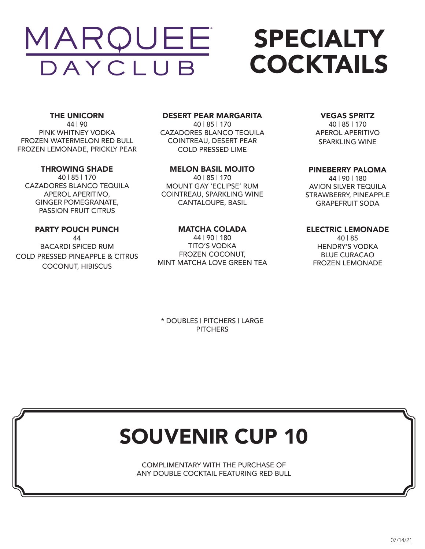## SPECIALTY COCKTAILS

THE UNICORN 44 | 90 PINK WHITNEY VODKA FROZEN WATERMELON RED BULL FROZEN LEMONADE, PRICKLY PEAR

#### THROWING SHADE

40 | 85 | 170 CAZADORES BLANCO TEQUILA APEROL APERITIVO, GINGER POMEGRANATE, PASSION FRUIT CITRUS

#### PARTY POUCH PUNCH

44 BACARDI SPICED RUM COLD PRESSED PINEAPPLE & CITRUS COCONUT, HIBISCUS

#### DESERT PEAR MARGARITA

40 | 85 | 170 CAZADORES BLANCO TEQUILA COINTREAU, DESERT PEAR COLD PRESSED LIME

#### MELON BASIL MOJITO

40 | 85 | 170 MOUNT GAY 'ECLIPSE' RUM COINTREAU, SPARKLING WINE CANTALOUPE, BASIL

#### MATCHA COLADA

44 | 90 | 180 TITO'S VODKA FROZEN COCONUT, MINT MATCHA LOVE GREEN TEA

#### VEGAS SPRITZ

40 | 85 | 170 APEROL APERITIVO SPARKLING WINE

#### PINEBERRY PALOMA

44 | 90 | 180 AVION SILVER TEQUILA STRAWBERRY, PINEAPPLE GRAPEFRUIT SODA

#### ELECTRIC LEMONADE

40 | 85 HENDRY'S VODKA BLUE CURACAO FROZEN LEMONADE

\* DOUBLES | PITCHERS | LARGE **PITCHERS** 

### SOUVENIR CUP 10

COMPLIMENTARY WITH THE PURCHASE OF ANY DOUBLE COCKTAIL FEATURING RED BULL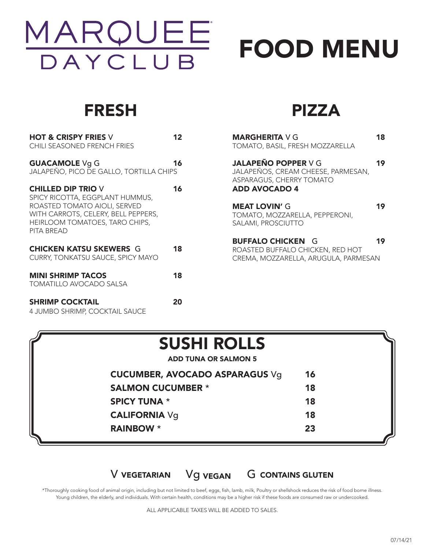

# FOOD MENU

### FRESH

| <b>HOT &amp; CRISPY FRIES V</b><br>CHILI SEASONED FRENCH FRIES                                                                                                                      | 12 |
|-------------------------------------------------------------------------------------------------------------------------------------------------------------------------------------|----|
| <b>GUACAMOLE Vg G</b><br>JALAPEÑO, PICO DE GALLO, TORTILLA CHIPS                                                                                                                    | 16 |
| <b>CHILLED DIP TRIO V</b><br>SPICY RICOTTA, EGGPLANT HUMMUS,<br>ROASTED TOMATO AIOLI, SERVED<br>WITH CARROTS, CELERY, BELL PEPPERS,<br>HEIRLOOM TOMATOES, TARO CHIPS,<br>PITA BREAD | 16 |
| <b>CHICKEN KATSU SKEWERS G</b><br>CURRY, TONKATSU SAUCE, SPICY MAYO                                                                                                                 | 18 |
| <b>MINI SHRIMP TACOS</b><br>TOMATILLO AVOCADO SALSA                                                                                                                                 | 18 |
| <b>SHRIMP COCKTAIL</b>                                                                                                                                                              | 20 |

4 JUMBO SHRIMP, COCKTAIL SAUCE

### PIZZA

| <b>MARGHERITA</b> V G<br>TOMATO, BASIL, FRESH MOZZARELLA                                                             | 18 |
|----------------------------------------------------------------------------------------------------------------------|----|
| <b>JALAPEÑO POPPER V G</b><br>JALAPEÑOS, CREAM CHEESE, PARMESAN,<br>ASPARAGUS, CHERRY TOMATO<br><b>ADD AVOCADO 4</b> | 19 |
| <b>MEAT LOVIN' G</b><br>TOMATO, MOZZARELLA, PEPPERONI,<br>SALAMI, PROSCIUTTO                                         | 19 |
| <b>BUFFALO CHICKEN G</b><br>ROASTED BUFFALO CHICKEN, RED HOT<br>CREMA, MOZZARELLA, ARUGULA, PARMESAN                 |    |

| <b>ADD TUNA OR SALMON 5</b><br><b>CUCUMBER, AVOCADO ASPARAGUS Vg</b> | 16 |
|----------------------------------------------------------------------|----|
|                                                                      |    |
|                                                                      |    |
| <b>SALMON CUCUMBER *</b>                                             | 18 |
| <b>SPICY TUNA *</b>                                                  | 18 |
| <b>CALIFORNIA Vg</b>                                                 | 18 |
| <b>RAINBOW</b> *                                                     | 23 |

#### V VEGETARIAN Vg VEGAN G CONTAINS GLUTEN

\*Thoroughly cooking food of animal origin, including but not limited to beef, eggs, fish, lamb, milk, Poultry or shellshock reduces the risk of food borne illness. Young children, the elderly, and individuals. With certain health, conditions may be a higher risk if these foods are consumed raw or undercooked.

ALL APPLICABLE TAXES WILL BE ADDED TO SALES.